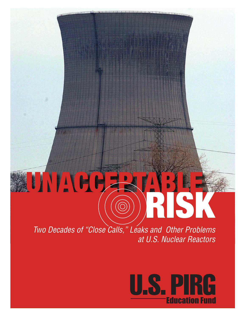# UNACCE

*Two Decades of "Close Calls," Leaks and Other Problems at U.S. Nuclear Reactors*

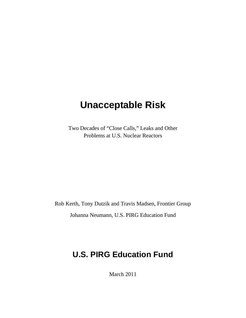# **Unacceptable Risk**

Two Decades of "Close Calls," Leaks and Other Problems at U.S. Nuclear Reactors

Rob Kerth, Tony Dutzik and Travis Madsen, Frontier Group Johanna Neumann, U.S. PIRG Education Fund

# **U.S. PIRG Education Fund**

March 2011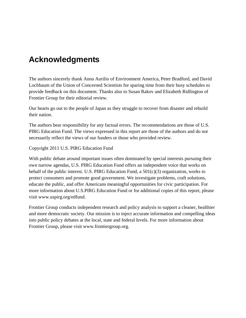## **Acknowledgments**

The authors sincerely thank Anna Aurilio of Environment America, Peter Bradford, and David Lochbaum of the Union of Concerned Scientists for sparing time from their busy schedules to provide feedback on this document. Thanks also to Susan Rakov and Elizabeth Ridlington of Frontier Group for their editorial review.

Our hearts go out to the people of Japan as they struggle to recover from disaster and rebuild their nation.

The authors bear responsibility for any factual errors. The recommendations are those of U.S. PIRG Education Fund. The views expressed in this report are those of the authors and do not necessarily reflect the views of our funders or those who provided review.

Copyright 2011 U.S. PIRG Education Fund

With public debate around important issues often dominated by special interests pursuing their own narrow agendas, U.S. PIRG Education Fund offers an independent voice that works on behalf of the public interest. U.S. PIRG Education Fund, a 501(c)(3) organization, works to protect consumers and promote good government. We investigate problems, craft solutions, educate the public, and offer Americans meaningful opportunities for civic participation. For more information about U.S.PIRG Education Fund or for additional copies of this report, please visit www.uspirg.org/edfund.

Frontier Group conducts independent research and policy analysis to support a cleaner, healthier and more democratic society. Our mission is to inject accurate information and compelling ideas into public policy debates at the local, state and federal levels. For more information about Frontier Group, please visit www.frontiergroup.org.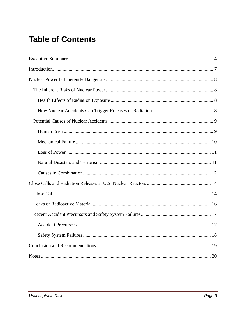# **Table of Contents**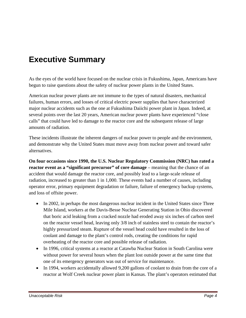# **Executive Summary**

As the eyes of the world have focused on the nuclear crisis in Fukushima, Japan, Americans have begun to raise questions about the safety of nuclear power plants in the United States.

American nuclear power plants are not immune to the types of natural disasters, mechanical failures, human errors, and losses of critical electric power supplies that have characterized major nuclear accidents such as the one at Fukushima Daiichi power plant in Japan. Indeed, at several points over the last 20 years, American nuclear power plants have experienced "close calls" that could have led to damage to the reactor core and the subsequent release of large amounts of radiation.

These incidents illustrate the inherent dangers of nuclear power to people and the environment, and demonstrate why the United States must move away from nuclear power and toward safer alternatives.

**On four occasions since 1990, the U.S. Nuclear Regulatory Commission (NRC) has rated a reactor event as a "significant precursor" of core damage** – meaning that the chance of an accident that would damage the reactor core, and possibly lead to a large-scale release of radiation, increased to greater than 1 in 1,000. These events had a number of causes, including operator error, primary equipment degradation or failure, failure of emergency backup systems, and loss of offsite power.

- In 2002, in perhaps the most dangerous nuclear incident in the United States since Three Mile Island, workers at the Davis-Besse Nuclear Generating Station in Ohio discovered that boric acid leaking from a cracked nozzle had eroded away six inches of carbon steel on the reactor vessel head, leaving only 3/8 inch of stainless steel to contain the reactor's highly pressurized steam. Rupture of the vessel head could have resulted in the loss of coolant and damage to the plant's control rods, creating the conditions for rapid overheating of the reactor core and possible release of radiation.
- In 1996, critical systems at a reactor at Catawba Nuclear Station in South Carolina were without power for several hours when the plant lost outside power at the same time that one of its emergency generators was out of service for maintenance.
- In 1994, workers accidentally allowed 9,200 gallons of coolant to drain from the core of a reactor at Wolf Creek nuclear power plant in Kansas. The plant's operators estimated that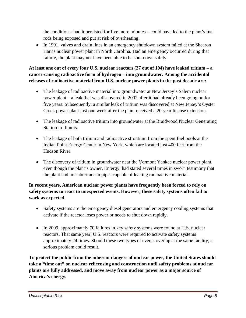the condition – had it persisted for five more minutes – could have led to the plant's fuel rods being exposed and put at risk of overheating.

• In 1991, valves and drain lines in an emergency shutdown system failed at the Shearon Harris nuclear power plant in North Carolina. Had an emergency occurred during that failure, the plant may not have been able to be shut down safely.

#### **At least one out of every four U.S. nuclear reactors (27 out of 104) have leaked tritium – a cancer-causing radioactive form of hydrogen – into groundwater. Among the accidental releases of radioactive material from U.S. nuclear power plants in the past decade are:**

- The leakage of radioactive material into groundwater at New Jersey's Salem nuclear power plant – a leak that was discovered in 2002 after it had already been going on for five years. Subsequently, a similar leak of tritium was discovered at New Jersey's Oyster Creek power plant just one week after the plant received a 20-year license extension.
- The leakage of radioactive tritium into groundwater at the Braidwood Nuclear Generating Station in Illinois.
- The leakage of both tritium and radioactive strontium from the spent fuel pools at the Indian Point Energy Center in New York, which are located just 400 feet from the Hudson River.
- The discovery of tritium in groundwater near the Vermont Yankee nuclear power plant, even though the plant's owner, Entergy, had stated several times in sworn testimony that the plant had no subterranean pipes capable of leaking radioactive material.

#### **In recent years, American nuclear power plants have frequently been forced to rely on safety systems to react to unexpected events. However, these safety systems often fail to work as expected.**

- Safety systems are the emergency diesel generators and emergency cooling systems that activate if the reactor loses power or needs to shut down rapidly.
- In 2009, approximately 70 failures in key safety systems were found at U.S. nuclear reactors. That same year, U.S. reactors were required to activate safety systems approximately 24 times. Should these two types of events overlap at the same facility, a serious problem could result.

**To protect the public from the inherent dangers of nuclear power, the United States should take a "time out" on nuclear relicensing and construction until safety problems at nuclear plants are fully addressed, and move away from nuclear power as a major source of America's energy.**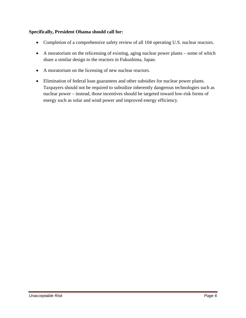#### **Specifically, President Obama should call for:**

- Completion of a comprehensive safety review of all 104 operating U.S. nuclear reactors.
- A moratorium on the relicensing of existing, aging nuclear power plants some of which share a similar design to the reactors in Fukushima, Japan.
- A moratorium on the licensing of new nuclear reactors.
- Elimination of federal loan guarantees and other subsidies for nuclear power plants. Taxpayers should not be required to subsidize inherently dangerous technologies such as nuclear power – instead, those incentives should be targeted toward low-risk forms of energy such as solar and wind power and improved energy efficiency.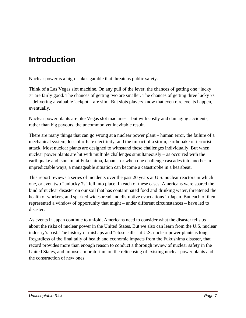# **Introduction**

Nuclear power is a high-stakes gamble that threatens public safety.

Think of a Las Vegas slot machine. On any pull of the lever, the chances of getting one "lucky 7" are fairly good. The chances of getting two are smaller. The chances of getting three lucky 7s – delivering a valuable jackpot – are slim. But slots players know that even rare events happen, eventually.

Nuclear power plants are like Vegas slot machines – but with costly and damaging accidents, rather than big payouts, the uncommon yet inevitable result.

There are many things that can go wrong at a nuclear power plant – human error, the failure of a mechanical system, loss of offsite electricity, and the impact of a storm, earthquake or terrorist attack. Most nuclear plants are designed to withstand these challenges individually. But when nuclear power plants are hit with multiple challenges simultaneously – as occurred with the earthquake and tsunami at Fukushima, Japan – or when one challenge cascades into another in unpredictable ways, a manageable situation can become a catastrophe in a heartbeat.

This report reviews a series of incidents over the past 20 years at U.S. nuclear reactors in which one, or even two "unlucky 7s" fell into place. In each of these cases, Americans were spared the kind of nuclear disaster on our soil that has contaminated food and drinking water, threatened the health of workers, and sparked widespread and disruptive evacuations in Japan. But each of them represented a window of opportunity that might – under different circumstances – have led to disaster.

As events in Japan continue to unfold, Americans need to consider what the disaster tells us about the risks of nuclear power in the United States. But we also can learn from the U.S. nuclear industry's past. The history of mishaps and "close calls" at U.S. nuclear power plants is long. Regardless of the final tally of health and economic impacts from the Fukushima disaster, that record provides more than enough reason to conduct a thorough review of nuclear safety in the United States, and impose a moratorium on the relicensing of existing nuclear power plants and the construction of new ones.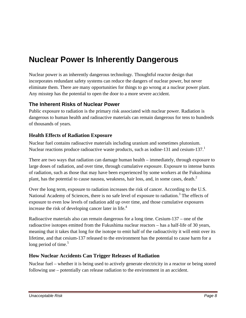# **Nuclear Power Is Inherently Dangerous**

Nuclear power is an inherently dangerous technology. Thoughtful reactor design that incorporates redundant safety systems can reduce the dangers of nuclear power, but never eliminate them. There are many opportunities for things to go wrong at a nuclear power plant. Any misstep has the potential to open the door to a more severe accident.

## **The Inherent Risks of Nuclear Power**

Public exposure to radiation is the primary risk associated with nuclear power. Radiation is dangerous to human health and radioactive materials can remain dangerous for tens to hundreds of thousands of years.

#### **Health Effects of Radiation Exposure**

Nuclear fuel contains radioactive materials including uranium and sometimes plutonium. Nuclear reactions produce radioactive waste products, such as iodine-131 and cesium-137. $1$ 

There are two ways that radiation can damage human health – immediately, through exposure to large doses of radiation, and over time, through cumulative exposure. Exposure to intense bursts of radiation, such as those that may have been experienced by some workers at the Fukushima plant, has the potential to cause nausea, weakness, hair loss, and, in some cases, death.<sup>2</sup>

Over the long term, exposure to radiation increases the risk of cancer. According to the U.S. National Academy of Sciences, there is no safe level of exposure to radiation.<sup>3</sup> The effects of exposure to even low levels of radiation add up over time, and those cumulative exposures increase the risk of developing cancer later in life. $4$ 

Radioactive materials also can remain dangerous for a long time. Cesium-137 – one of the radioactive isotopes emitted from the Fukushima nuclear reactors – has a half-life of 30 years, meaning that it takes that long for the isotope to emit half of the radioactivity it will emit over its lifetime, and that cesium-137 released to the environment has the potential to cause harm for a long period of time.<sup>5</sup>

## **How Nuclear Accidents Can Trigger Releases of Radiation**

Nuclear fuel – whether it is being used to actively generate electricity in a reactor or being stored following use – potentially can release radiation to the environment in an accident.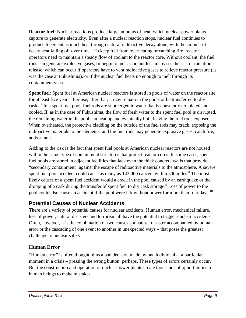**Reactor fuel:** Nuclear reactions produce large amounts of heat, which nuclear power plants capture to generate electricity. Even after a nuclear reaction stops, nuclear fuel continues to produce 6 percent as much heat through natural radioactive decay alone, with the amount of decay heat falling off over time.<sup>6</sup> To keep fuel from overheating or catching fire, reactor operators need to maintain a steady flow of coolant to the reactor core. Without coolant, the fuel rods can generate explosive gases, or begin to melt. Coolant loss increases the risk of radiation release, which can occur if operators have to vent radioactive gases to relieve reactor pressure (as was the case at Fukushima), or if the nuclear fuel heats up enough to melt through its containment vessel.

**Spent fuel**: Spent fuel at American nuclear reactors is stored in pools of water on the reactor site for at least five years after use; after that, it may remain in the pools or be transferred to dry casks.<sup>7</sup> In a spent fuel pool, fuel rods are submerged in water that is constantly circulated and cooled. If, as in the case of Fukushima, the flow of fresh water to the spent fuel pool is disrupted, the remaining water in the pool can heat up and eventually boil, leaving the fuel rods exposed. When overheated, the protective cladding on the outside of the fuel rods may crack, exposing the radioactive materials to the elements, and the fuel rods may generate explosive gases, catch fire, and/or melt.

Adding to the risk is the fact that spent fuel pools at American nuclear reactors are not housed within the same type of containment structures that protect reactor cores. In some cases, spent fuel pools are stored in adjacent facilities that lack even the thick concrete walls that provide "secondary containment" against the escape of radioactive materials to the atmosphere. A severe spent fuel pool accident could cause as many as  $143,000$  cancers within 500 miles.<sup>8</sup> The most likely causes of a spent fuel accident would a crack in the pool caused by an earthquake or the dropping of a cask during the transfer of spent fuel to dry cask storage.<sup>9</sup> Loss of power to the pool could also cause an accident if the pool were left without power for more than four days.<sup>10</sup>

## **Potential Causes of Nuclear Accidents**

There are a variety of potential causes for nuclear accidents. Human error, mechanical failure, loss of power, natural disasters and terrorism all have the potential to trigger nuclear accidents. Often, however, it is the combination of two causes – a natural disaster accompanied by human error or the cascading of one event to another in unexpected ways – that poses the greatest challenge to nuclear safety.

## **Human Error**

"Human error" is often thought of as a bad decision made by one individual at a particular moment in a crisis – pressing the wrong button, perhaps. These types of errors certainly occur. But the construction and operation of nuclear power plants create thousands of opportunities for human beings to make mistakes.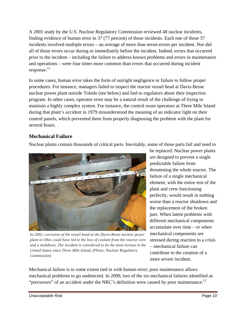A 2001 study by the U.S. Nuclear Regulatory Commission reviewed 48 nuclear incidents, finding evidence of human error in 37 (77 percent) of those incidents. Each one of those 37 incidents involved multiple errors – an average of more than seven errors per incident. Nor did all of those errors occur during or immediately before the incident. Indeed, errors that occurred prior to the incident – including the failure to address known problems and errors in maintenance and operations – were four times more common than errors that occurred during incident  $response.<sup>11</sup>$ 

In some cases, human error takes the form of outright negligence or failure to follow proper procedures. For instance, managers failed to inspect the reactor vessel head at Davis-Besse nuclear power plant outside Toledo (see below) and lied to regulators about their inspection program. In other cases, operator error may be a natural result of the challenge of trying to maintain a highly complex system. For instance, the control room operators at Three Mile Island during that plant's accident in 1979 misunderstood the meaning of an indicator light on their control panels, which prevented them from properly diagnosing the problem with the plant for several hours.

## **Mechanical Failure**

Nuclear plants contain thousands of critical parts. Inevitably, some of those parts fail and need to



*In 2002, corrosion of the vessel head at the Davis-Besse nuclear power plant in Ohio could have led to the loss of coolant from the reactor core and a meltdown. The incident is considered to be the most serious in the United States since Three Mile Island. (Photo: Nuclear Regulatory Commission)*

be replaced. Nuclear power plants are designed to prevent a single predictable failure from threatening the whole reactor. The failure of a single mechanical element, with the entire rest of the plant and crew functioning perfectly, would result in nothing worse than a reactor shutdown and the replacement of the broken part. When latent problems with different mechanical components accumulate over time – or when mechanical components are stressed during reaction to a crisis – mechanical failure can contribute to the creation of a more severe incident.

Mechanical failure is to some extent tied in with human error; poor maintenance allows mechanical problems to go undetected. In 2009, two of the six mechanical failures identified as "precursors" of an accident under the NRC's definition were caused by poor maintenance.<sup>12</sup>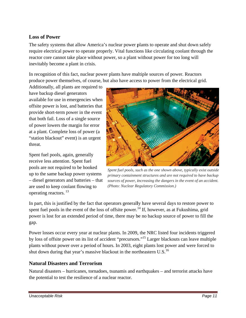#### **Loss of Power**

The safety systems that allow America's nuclear power plants to operate and shut down safely require electrical power to operate properly. Vital functions like circulating coolant through the reactor core cannot take place without power, so a plant without power for too long will inevitably become a plant in crisis.

In recognition of this fact, nuclear power plants have multiple sources of power. Reactors produce power themselves, of course, but also have access to power from the electrical grid.

Additionally, all plants are required to have bac kup diesel g generators available for use in emergencies when offsite power is lost, and batteries that provide short-term power in the event that both fail. Loss of a single source of power lowers the margin for error at a plant. Complete loss of power (a "station blackout" event) is an urgent threat.

Spent fuel pools, again, generally receive less attention. Spent fuel Spent fuel pools, again, generally<br>receive less attention. Spent fuel<br>pools are not required to be hooked up to the same backu up power sys stems – diesel generators and batteries – that are used to keep cool lant flowing to operating reactors.<sup>13</sup>



Spent fuel pools, such as the one shown above, typically exist outside *primary containment structures and are not required to have backup sources of power, increasing the dangers in the event of an accident.* (Photo: Nuclear Regulatory Commission.)

In part, this is justified by the fact that operators generally have several days to restore power to spent fuel pools in the event of the loss of offsite power.<sup>14</sup> If, however, as at Fukushima, grid spent fuel pools in the event of the loss of offsite power.<sup>14</sup> If, however, as at Fukushima, grid<br>power is lost for an extended period of time, there may be no backup source of power to fill the gap.

Power losses occur every year at nuclear plants. In 2009, the NRC listed four incidents triggered by loss of offsite power on its list of accident "precursors."<sup>15</sup> Larger blackouts can leave multiple plants without power over a period of hours. In 2003, eight plants lost power and were forced to shut down during that year's massive blackout in the northeastern U.S.<sup>16</sup>

#### **Natural l Disasters and Terro rism**

Natural disasters – hurricanes, tornadoes, tsunamis and earthquakes – and terrorist attacks have the potential to test the resilience of a nuclear reactor.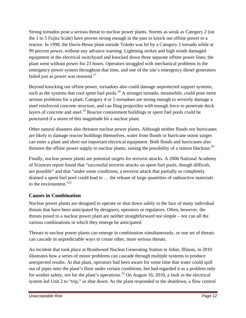Strong tornados pose a serious threat to nuclear power plants. Storms as weak as Category 2 (on the 1 to 5 Fujita Scale) have proven strong enough in the past to knock out offsite power to a reactor. In 1998, the Davis-Besse plant outside Toledo was hit by a Category 2 tornado while at 99 percent power, without any advance warning. Lightning strikes and high winds damaged equipment in the electrical switchyard and knocked down three separate offsite power lines; the plant went without power for 23 hours. Operators struggled with mechanical problems in the emergency power system throughout that time, and one of the site's emergency diesel generators failed just as power was restored.<sup>17</sup>

Beyond knocking out offsite power, tornadoes also could damage unprotected support systems, such as the systems that cool spent fuel pools.<sup>18</sup> A stronger tornado, meanwhile, could pose more serious problems for a plant. Category 4 or 5 tornadoes are strong enough to severely damage a steel reinforced concrete structure, and can fling projectiles with enough force to penetrate thick layers of concrete and steel.<sup>19</sup> Reactor containment buildings or spent fuel pools could be punctured if a storm of this magnitude hit a nuclear plant.

Other natural disasters also threaten nuclear power plants. Although neither floods nor hurricanes are likely to damage reactor buildings themselves, water from floods or hurricane storm surges can enter a plant and short out important electrical equipment. Both floods and hurricanes also threaten the offsite power supply to nuclear plants, raising the possibility of a station blackout.<sup>20</sup>

Finally, nuclear power plants are potential targets for terrorist attacks. A 2006 National Academy of Sciences report found that "successful terrorist attacks on spent fuel pools, though difficult, are possible" and that "under some conditions, a terrorist attack that partially or completely drained a spent fuel pool could lead to … the release of large quantities of radioactive materials to the environment." $^{21}$ 

#### **Causes in Combination**

Nuclear power plants are designed to operate or shut down safely in the face of many individual threats that have been anticipated by designers, operators or regulators. Often, however, the threats posed to a nuclear power plant are neither straightforward nor simple – nor can all the various combinations in which they emerge be anticipated.

Threats to nuclear power plants can emerge in combination simultaneously, or one set of threats can cascade in unpredictable ways to create other, more serious threats.

An incident that took place at Braidwood Nuclear Generating Station in Joliet, Illinois, in 2010 illustrates how a series of minor problems can cascade through multiple systems to produce unexpected results. At that plant, operators had been aware for some time that water could spill out of pipes onto the plant's floor under certain conditions, but had regarded it as a problem only for worker safety, not for the plant's operations.<sup>22</sup> On August 16, 2010, a fault in the electrical system led Unit 2 to "trip," or shut down. As the plant responded to the shutdown, a flow control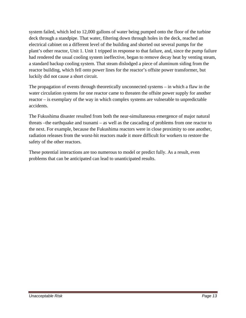system failed, which led to 12,000 gallons of water being pumped onto the floor of the turbine deck through a standpipe. That water, filtering down through holes in the deck, reached an electrical cabinet on a different level of the building and shorted out several pumps for the plant's other reactor, Unit 1. Unit 1 tripped in response to that failure, and, since the pump failure had rendered the usual cooling system ineffective, began to remove decay heat by venting steam, a standard backup cooling system. That steam dislodged a piece of aluminum siding from the reactor building, which fell onto power lines for the reactor's offsite power transformer, but luckily did not cause a short circuit.

The propagation of events through theoretically unconnected systems – in which a flaw in the water circulation systems for one reactor came to threaten the offsite power supply for another reactor – is exemplary of the way in which complex systems are vulnerable to unpredictable accidents.

The Fukushima disaster resulted from both the near-simultaneous emergence of major natural threats –the earthquake and tsunami – as well as the cascading of problems from one reactor to the next. For example, because the Fukushima reactors were in close proximity to one another, radiation releases from the worst-hit reactors made it more difficult for workers to restore the safety of the other reactors.

These potential interactions are too numerous to model or predict fully. As a result, even problems that can be anticipated can lead to unanticipated results.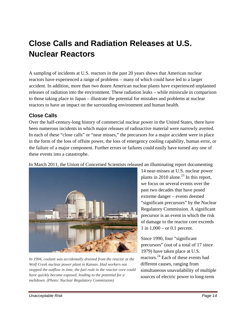# **Close Calls and Radiation Releases at U.S. Nuclear Reactors**

A sampling of incidents at U.S. reactors in the past 20 years shows that American nuclear reactors have experienced a range of problems – many of which could have led to a larger accident. In addition, more than two dozen American nuclear plants have experienced unplanned releases of radiation into the environment. These radiation leaks – while miniscule in comparison to those taking place in Japan – illustrate the potential for mistakes and problems at nuclear reactors to have an impact on the surrounding environment and human health.

#### **Close Calls**

Over the half-century-long history of commercial nuclear power in the United States, there have been numerous incidents in which major releases of radioactive material were narrowly averted. In each of these "close calls" or "near misses," the precursors for a major accident were in place in the form of the loss of offsite power, the loss of emergency cooling capability, human error, or the failure of a major component. Further errors or failures could easily have turned any one of these events into a catastrophe.

In March 2011, the Union of Concerned Scientists released an illuminating report documenting



*In 1994, coolant was accidentally drained from the reactor at the Wolf Creek nuclear power plant in Kansas. Had workers not stopped the outflow in time, the fuel rods in the reactor core could have quickly become exposed, leading to the potential for a meltdown. (Photo: Nuclear Regulatory Commission)*

14 near-misses at U.S. nuclear power plants in 2010 alone.<sup>23</sup> In this report, we focus on several events over the past two decades that have posed extreme danger – events deemed "significant precursors" by the Nuclear Regulatory Commission. A significant precursor is an event in which the risk of damage to the reactor core exceeds 1 in 1,000 – or 0.1 percent.

Since 1990, four "significant precursors" (out of a total of 17 since 1979) have taken place at U.S. reactors.24 Each of these events had different causes, ranging from simultaneous unavailability of multiple sources of electric power to long-term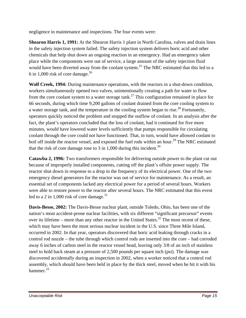negligence in maintenance and inspections. The four events were:

**Shearon Harris 1, 1991:** At the Shearon Harris 1 plant in North Carolina, valves and drain lines in the safety injection system failed. The safety injection system delivers boric acid and other chemicals that help shut down an ongoing reaction in an emergency. Had an emergency taken place while the components were out of service, a large amount of the safety injection fluid would have been diverted away from the coolant system.<sup>25</sup> The NRC estimated that this led to a 6 in 1,000 risk of core damage.<sup>26</sup>

**Wolf Creek, 1994:** During maintenance operations, with the reactors in a shut-down condition, workers simultaneously opened two valves, unintentionally creating a path for water to flow from the core coolant system to a water storage tank.<sup>27</sup> This configuration remained in place for 66 seconds, during which time 9,200 gallons of coolant drained from the core cooling system to a water storage tank, and the temperature in the cooling system began to rise.<sup>28</sup> Fortunately, operators quickly noticed the problem and stopped the outflow of coolant. In an analysis after the fact, the plant's operators concluded that the loss of coolant, had it continued for five more minutes, would have lowered water levels sufficiently that pumps responsible for circulating coolant through the core could not have functioned. That, in turn, would have allowed coolant to boil off inside the reactor vessel, and exposed the fuel rods within an hour.<sup>29</sup> The NRC estimated that the risk of core damage rose to 3 in 1,000 during this incident.<sup>30</sup>

**Catawba 2, 1996:** Two transformers responsible for delivering outside power to the plant cut out because of improperly installed components, cutting off the plant's offsite power supply. The reactor shut down in response to a drop in the frequency of its electrical power. One of the two emergency diesel generators for the reactor was out of service for maintenance. As a result, an essential set of components lacked any electrical power for a period of several hours. Workers were able to restore power to the reactor after several hours. The NRC estimated that this event led to a 2 in 1,000 risk of core damage.<sup>31</sup>

**Davis-Besse, 2002:** The Davis-Besse nuclear plant, outside Toledo, Ohio, has been one of the nation's most accident-prone nuclear facilities, with six different "significant precursor" events over its lifetime – more than any other reactor in the United States.<sup>32</sup> The most recent of these, which may have been the most serious nuclear incident in the U.S. since Three Mile Island, occurred in 2002. In that year, operators discovered that boric acid leaking through cracks in a control rod nozzle – the tube through which control rods are inserted into the core – had corroded away 6 inches of carbon steel in the reactor vessel head, leaving only 3/8 of an inch of stainless steel to hold back steam at a pressure of 2,500 pounds per square inch (psi). The damage was discovered accidentally during an inspection in 2002, when a worker noticed that a control rod assembly, which should have been held in place by the thick steel, moved when he hit it with his hammer.<sup>33</sup>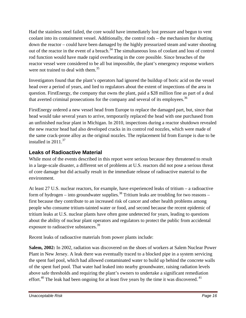Had the stainless steel failed, the core would have immediately lost pressure and begun to vent coolant into its containment vessel. Additionally, the control rods – the mechanism for shutting down the reactor – could have been damaged by the highly pressurized steam and water shooting out of the reactor in the event of a breach.<sup>34</sup> The simultaneous loss of coolant and loss of control rod function would have made rapid overheating in the core possible. Since breaches of the reactor vessel were considered to be all but impossible, the plant's emergency response workers were not trained to deal with them.<sup>35</sup>

Investigators found that the plant's operators had ignored the buildup of boric acid on the vessel head over a period of years, and lied to regulators about the extent of inspections of the area in question. FirstEnergy, the company that owns the plant, paid a \$28 million fine as part of a deal that averted criminal prosecutions for the company and several of its employees.<sup>36</sup>

FirstEnergy ordered a new vessel head from Europe to replace the damaged part, but, since that head would take several years to arrive, temporarily replaced the head with one purchased from an unfinished nuclear plant in Michigan. In 2010, inspections during a reactor shutdown revealed the new reactor head had also developed cracks in its control rod nozzles, which were made of the same crack-prone alloy as the original nozzles. The replacement lid from Europe is due to be installed in  $2011^{37}$ 

## **Leaks of Radioactive Material**

While most of the events described in this report were serious because they threatened to result in a large-scale disaster, a different set of problems at U.S. reactors did not pose a serious threat of core damage but did actually result in the immediate release of radioactive material to the environment.

At least 27 U.S. nuclear reactors, for example, have experienced leaks of tritium – a radioactive form of hydrogen – into groundwater supplies.<sup>38</sup> Tritium leaks are troubling for two reasons – first because they contribute to an increased risk of cancer and other health problems among people who consume tritium-tainted water or food, and second because the recent epidemic of tritium leaks at U.S. nuclear plants have often gone undetected for years, leading to questions about the ability of nuclear plant operators and regulators to protect the public from accidental exposure to radioactive substances.<sup>39</sup>

Recent leaks of radioactive materials from power plants include:

**Salem, 2002:** In 2002, radiation was discovered on the shoes of workers at Salem Nuclear Power Plant in New Jersey. A leak there was eventually traced to a blocked pipe in a system servicing the spent fuel pool, which had allowed contaminated water to build up behind the concrete walls of the spent fuel pool. That water had leaked into nearby groundwater, raising radiation levels above safe thresholds and requiring the plant's owners to undertake a significant remediation effort.<sup>40</sup> The leak had been ongoing for at least five years by the time it was discovered.<sup>41</sup>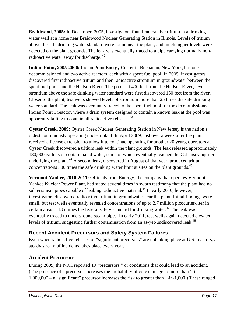**Braidwood, 2005:** In December, 2005, investigators found radioactive tritium in a drinking water well at a home near Braidwood Nuclear Generating Station in Illinois. Levels of tritium above the safe drinking water standard were found near the plant, and much higher levels were detected on the plant grounds. The leak was eventually traced to a pipe carrying normally nonradioactive water away for discharge.<sup>42</sup>

**Indian Point, 2005-2006:** Indian Point Energy Center in Buchanan, New York, has one decommissioned and two active reactors, each with a spent fuel pool. In 2005, investigators discovered first radioactive tritium and then radioactive strontium in groundwater between the spent fuel pools and the Hudson River. The pools sit 400 feet from the Hudson River; levels of strontium above the safe drinking water standard were first discovered 150 feet from the river. Closer to the plant, test wells showed levels of strontium more than 25 times the safe drinking water standard. The leak was eventually traced to the spent fuel pool for the decommissioned Indian Point 1 reactor, where a drain system designed to contain a known leak at the pool was apparently failing to contain all radioactive releases.<sup>43</sup>

**Oyster Creek, 2009:** Oyster Creek Nuclear Generating Station in New Jersey is the nation's oldest continuously operating nuclear plant. In April 2009, just over a week after the plant received a license extension to allow it to continue operating for another 20 years, operators at Oyster Creek discovered a tritium leak within the plant grounds. The leak released approximately 180,000 gallons of contaminated water, some of which eventually reached the Cohansey aquifer underlying the plant.<sup>44</sup> A second leak, discovered in August of that year, produced tritium concentrations 500 times the safe drinking water limit at sites on the plant grounds.<sup>45</sup>

**Vermont Yankee, 2010-2011:** Officials from Entergy, the company that operates Vermont Yankee Nuclear Power Plant, had stated several times in sworn testimony that the plant had no subterranean pipes capable of leaking radioactive material.<sup>46</sup> In early 2010, however, investigators discovered radioactive tritium in groundwater near the plant. Initial findings were small, but test wells eventually revealed concentrations of up to 2.7 million picocuries/liter in certain areas  $-135$  times the federal safety standard for drinking water.<sup>47</sup> The leak was eventually traced to underground steam pipes. In early 2011, test wells again detected elevated levels of tritium, suggesting further contamination from an as-yet-undiscovered leak.<sup>48</sup>

## **Recent Accident Precursors and Safety System Failures**

Even when radioactive releases or "significant precursors" are not taking place at U.S. reactors, a steady stream of incidents takes place every year.

## **Accident Precursors**

During 2009, the NRC reported 19 "precursors," or conditions that could lead to an accident. (The presence of a precursor increases the probability of core damage to more than 1-in-1,000,000 – a "significant" precursor increases the risk to greater than 1-in-1,000.) These ranged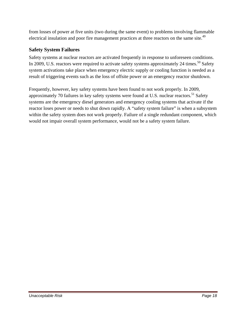from losses of power at five units (two during the same event) to problems involving flammable electrical insulation and poor fire management practices at three reactors on the same site.<sup>49</sup>

#### **Safety System Failures**

Safety systems at nuclear reactors are activated frequently in response to unforeseen conditions. In 2009, U.S. reactors were required to activate safety systems approximately 24 times.<sup>50</sup> Safety system activations take place when emergency electric supply or cooling function is needed as a result of triggering events such as the loss of offsite power or an emergency reactor shutdown.

Frequently, however, key safety systems have been found to not work properly. In 2009, approximately 70 failures in key safety systems were found at U.S. nuclear reactors.<sup>51</sup> Safety systems are the emergency diesel generators and emergency cooling systems that activate if the reactor loses power or needs to shut down rapidly. A "safety system failure" is when a subsystem within the safety system does not work properly. Failure of a single redundant component, which would not impair overall system performance, would not be a safety system failure.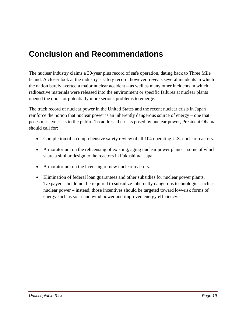# **Conclusion and Recommendations**

The nuclear industry claims a 30-year plus record of safe operation, dating back to Three Mile Island. A closer look at the industry's safety record, however, reveals several incidents in which the nation barely averted a major nuclear accident – as well as many other incidents in which radioactive materials were released into the environment or specific failures at nuclear plants opened the door for potentially more serious problems to emerge.

The track record of nuclear power in the United States and the recent nuclear crisis in Japan reinforce the notion that nuclear power is an inherently dangerous source of energy – one that poses massive risks to the public. To address the risks posed by nuclear power, President Obama should call for:

- Completion of a comprehensive safety review of all 104 operating U.S. nuclear reactors.
- A moratorium on the relicensing of existing, aging nuclear power plants some of which share a similar design to the reactors in Fukushima, Japan.
- A moratorium on the licensing of new nuclear reactors.
- Elimination of federal loan guarantees and other subsidies for nuclear power plants. Taxpayers should not be required to subsidize inherently dangerous technologies such as nuclear power – instead, those incentives should be targeted toward low-risk forms of energy such as solar and wind power and improved energy efficiency.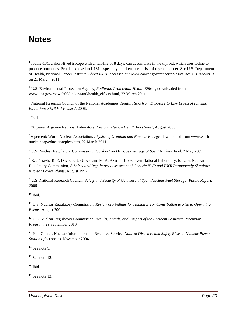## **Notes**

 $\overline{a}$ 

2 U.S. Environmental Protection Agency, *Radiation Protection: Health Effects*, downloaded from www.epa.gov/rpdweb00/understand/health\_effects.html, 22 March 2011.

3 National Research Council of the National Academies, *Health Risks from Exposure to Low Levels of Ionizing Radiation: BEIR VII Phase 2*, 2006.

4 Ibid.

5 30 years: Argonne National Laboratory, *Cesium: Human Health Fact Sheet*, August 2005.

<sup>6</sup> 6 percent: World Nuclear Association, *Physics of Uranium and Nuclear Energy*, downloaded from www.worldnuclear.org/education/phys.htm, 22 March 2011.

7 U.S. Nuclear Regulatory Commission, *Factsheet on Dry Cask Storage of Spent Nuclear Fuel*, 7 May 2009.

<sup>8</sup> R. J. Travis, R. E. Davis, E. J. Grove, and M. A. Azarm, Brookhaven National Laboratory, for U.S. Nuclear Regulatory Commission, *A Safety and Regulatory Assessment of Generic BWR and PWR Permanently Shutdown Nuclear Power Plants*, August 1997.

9 U.S. National Research Council, *Safety and Security of Commercial Spent Nuclear Fuel Storage: Public Report*, 2006.

 $10$  Ibid.

<sup>11</sup> U.S. Nuclear Regulatory Commission, *Review of Findings for Human Error Contribution to Risk in Operating Events*, August 2001.

<sup>12</sup> U.S. Nuclear Regulatory Commission, *Results, Trends, and Insights of the Accident Sequence Precursor Program*, 29 September 2010.

13 Paul Gunter, Nuclear Information and Resource Service, *Natural Disasters and Safety Risks at Nuclear Power Stations* (fact sheet), November 2004.

 $14$  See note 9.

 $15$  See note 12.

 $16$  Ibid.

 $17$  See note 13.

 $1$  Iodine-131, a short-lived isotope with a half-life of 8 days, can accumulate in the thyroid, which uses iodine to produce hormones. People exposed to I-131, especially children, are at risk of thyroid cancer. See U.S. Department of Health, National Cancer Institute, *About I-131*, accessed at hwww.cancer.gov/cancertopics/causes/i131/abouti131 on 21 March, 2011.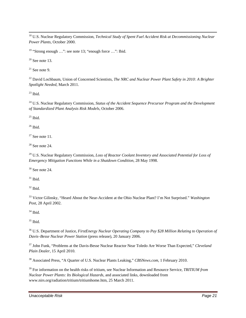18 U.S. Nuclear Regulatory Commission, *Technical Study of Spent Fuel Accident Risk at Decommissioning Nuclear Power Plants*, October 2000.

<sup>19</sup> "Strong enough ...": see note 13; "enough force ...": Ibid.

 $20$  See note 13.

 $21$  See note 9.

<sup>22</sup> David Lochbaum, Union of Concerned Scientists, *The NRC and Nuclear Power Plant Safety in 2010: A Brighter Spotlight Needed*, March 2011.

 $^{23}$  Ibid.

<sup>24</sup> U.S. Nuclear Regulatory Commission, *Status of the Accident Sequence Precursor Program and the Development of Standardized Plant Analysis Risk Models*, October 2006.

 $25$  Ibid.

 $26$  Ibid.

 $27$  See note 11.

 $28$  See note 24.

<sup>29</sup> U.S. Nuclear Regulatory Commission, *Loss of Reactor Coolant Inventory and Associated Potential for Loss of Emergency Mitigation Functions While in a Shutdown Condition*, 28 May 1998.

 $30$  See note 24.

 $31$  Ibid.

 $32$  Ibid.

33 Victor Gilinsky, "Heard About the Near-Accident at the Ohio Nuclear Plant? I'm Not Surprised." *Washington Post*, 28 April 2002.

 $34$  Ibid.

35 Ibid.

36 U.S. Department of Justice, *FirstEnergy Nuclear Operating Company to Pay \$28 Million Relating to Operation of Davis–Besse Nuclear Power Station* (press release), 20 January 2006.

37 John Funk, "Problems at the Davis-Besse Nuclear Reactor Near Toledo Are Worse Than Expected," *Cleveland Plain Dealer*, 15 April 2010.

38 Associated Press, "A Quarter of U.S. Nuclear Plants Leaking," *CBSNews.com*, 1 February 2010.

39 For information on the health risks of tritium, see Nuclear Information and Resource Service, *TRITIUM from Nuclear Power Plants: Its Biological Hazards*, and associated links, downloaded from www.nirs.org/radiation/tritium/tritiumhome.htm, 25 March 2011.